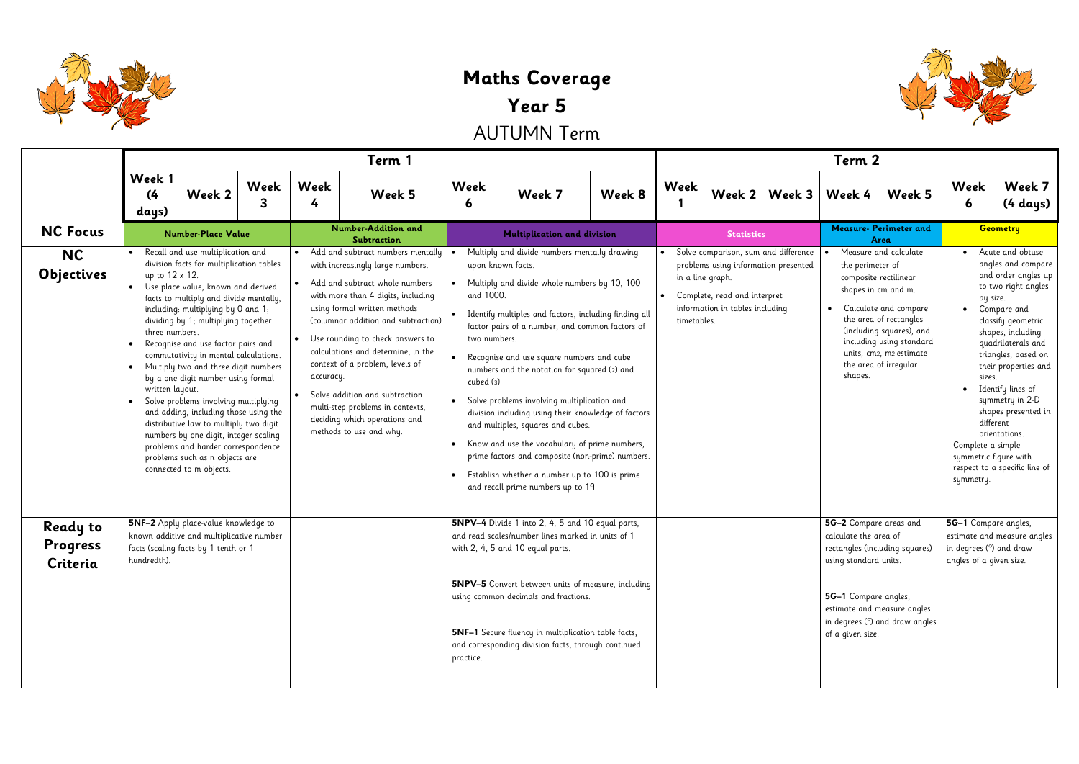

## **Maths Coverage Year 5** AUTUMN Term

|                                                | Term 1                                                                                                                                                                                                                                                                                                                                                                                                                                                                                                                                                                                                                                                                                                                                                                       |           |                        |                                                                                                                                                                                                                                                                                                                                                                                                                                                                     |                             |                                                                                                                                                                                                                                                                                                                                                                                                                                                                                                                                                                                                                                                                                  | Term 2 |                                       |                                                                                                                                                                     |          |                                                                                                                      |                                                                                                                                                                                                                                      |
|------------------------------------------------|------------------------------------------------------------------------------------------------------------------------------------------------------------------------------------------------------------------------------------------------------------------------------------------------------------------------------------------------------------------------------------------------------------------------------------------------------------------------------------------------------------------------------------------------------------------------------------------------------------------------------------------------------------------------------------------------------------------------------------------------------------------------------|-----------|------------------------|---------------------------------------------------------------------------------------------------------------------------------------------------------------------------------------------------------------------------------------------------------------------------------------------------------------------------------------------------------------------------------------------------------------------------------------------------------------------|-----------------------------|----------------------------------------------------------------------------------------------------------------------------------------------------------------------------------------------------------------------------------------------------------------------------------------------------------------------------------------------------------------------------------------------------------------------------------------------------------------------------------------------------------------------------------------------------------------------------------------------------------------------------------------------------------------------------------|--------|---------------------------------------|---------------------------------------------------------------------------------------------------------------------------------------------------------------------|----------|----------------------------------------------------------------------------------------------------------------------|--------------------------------------------------------------------------------------------------------------------------------------------------------------------------------------------------------------------------------------|
|                                                | Week 1<br>Week 2<br>(4)<br>days)                                                                                                                                                                                                                                                                                                                                                                                                                                                                                                                                                                                                                                                                                                                                             | Week<br>3 | Week<br>4              | Week 5                                                                                                                                                                                                                                                                                                                                                                                                                                                              | Week<br>6                   | Week 7                                                                                                                                                                                                                                                                                                                                                                                                                                                                                                                                                                                                                                                                           | Week 8 | Week                                  | Week $2 $                                                                                                                                                           | Week $3$ | Week 4                                                                                                               | Week 5                                                                                                                                                                                                                               |
| <b>NC Focus</b>                                | <b>Number-Place Value</b>                                                                                                                                                                                                                                                                                                                                                                                                                                                                                                                                                                                                                                                                                                                                                    |           |                        | <b>Number-Addition and</b><br>Subtraction                                                                                                                                                                                                                                                                                                                                                                                                                           | Multiplication and division |                                                                                                                                                                                                                                                                                                                                                                                                                                                                                                                                                                                                                                                                                  |        | <b>Statistics</b>                     |                                                                                                                                                                     |          | <b>Measure- Perimeter and</b><br>Area                                                                                |                                                                                                                                                                                                                                      |
| <b>NC</b><br>Objectives                        | Recall and use multiplication and<br>division facts for multiplication tables<br>up to 12 x 12.<br>Use place value, known and derived<br>$\bullet$<br>facts to multiply and divide mentally,<br>including: multiplying by 0 and 1;<br>dividing by 1; multiplying together<br>three numbers.<br>Recognise and use factor pairs and<br>commutativity in mental calculations.<br>Multiply two and three digit numbers<br>$\bullet$<br>by a one digit number using formal<br>written layout.<br>Solve problems involving multiplying<br>$\bullet$<br>and adding, including those using the<br>distributive law to multiply two digit<br>numbers by one digit, integer scaling<br>problems and harder correspondence<br>problems such as n objects are<br>connected to m objects. |           | $\bullet$<br>accuracy. | Add and subtract numbers mentally<br>with increasingly large numbers.<br>Add and subtract whole numbers<br>with more than 4 digits, including<br>using formal written methods<br>(columnar addition and subtraction)<br>Use rounding to check answers to<br>calculations and determine, in the<br>context of a problem, levels of<br>Solve addition and subtraction<br>multi-step problems in contexts,<br>deciding which operations and<br>methods to use and why. | and 1000.<br>cubed (3)      | Multiply and divide numbers mentally drawing<br>upon known facts.<br>Multiply and divide whole numbers by 10, 100<br>Identify multiples and factors, including finding all<br>factor pairs of a number, and common factors of<br>two numbers.<br>Recognise and use square numbers and cube<br>numbers and the notation for squared (2) and<br>Solve problems involving multiplication and<br>division including using their knowledge of factors<br>and multiples, squares and cubes.<br>Know and use the vocabulary of prime numbers,<br>prime factors and composite (non-prime) numbers.<br>Establish whether a number up to 100 is prime<br>and recall prime numbers up to 19 |        | $\bullet$<br>$\bullet$<br>timetables. | Solve comparison, sum and difference<br>problems using information presented<br>in a line graph.<br>Complete, read and interpret<br>information in tables including |          | the perimeter of<br>$\bullet$<br>shapes.                                                                             | Measure and calculate<br>composite rectilinear<br>shapes in cm and m.<br>Calculate and compare<br>the area of rectangles<br>(including squares), and<br>including using standard<br>units, cm2, m2 estimate<br>the area of irregular |
| <b>Ready to</b><br><b>Progress</b><br>Criteria | 5NF-2 Apply place-value knowledge to<br>known additive and multiplicative number<br>facts (scaling facts by 1 tenth or 1<br>hundredth).                                                                                                                                                                                                                                                                                                                                                                                                                                                                                                                                                                                                                                      |           |                        |                                                                                                                                                                                                                                                                                                                                                                                                                                                                     | practice.                   | 5NPV-4 Divide 1 into 2, 4, 5 and 10 equal parts,<br>and read scales/number lines marked in units of 1<br>with 2, 4, 5 and 10 equal parts.<br><b>5NPV-5</b> Convert between units of measure, including<br>using common decimals and fractions.<br><b>5NF-1</b> Secure fluency in multiplication table facts,<br>and corresponding division facts, through continued                                                                                                                                                                                                                                                                                                              |        |                                       |                                                                                                                                                                     |          | 5G-2 Compare areas and<br>calculate the area of<br>using standard units.<br>5G-1 Compare angles,<br>of a given size. | rectangles (including squares)<br>estimate and measure angles<br>in degrees (°) and draw angle                                                                                                                                       |



| Term 2                                                                                |                                                             |                                                                                                                                                                                                                                                                                                                                                                                                                                                                                                                                                                                                                                                                                                           |                                                                                                 |                                                                            |                             |  |  |  |  |  |
|---------------------------------------------------------------------------------------|-------------------------------------------------------------|-----------------------------------------------------------------------------------------------------------------------------------------------------------------------------------------------------------------------------------------------------------------------------------------------------------------------------------------------------------------------------------------------------------------------------------------------------------------------------------------------------------------------------------------------------------------------------------------------------------------------------------------------------------------------------------------------------------|-------------------------------------------------------------------------------------------------|----------------------------------------------------------------------------|-----------------------------|--|--|--|--|--|
|                                                                                       | Week 2   Week 3                                             | Week 4                                                                                                                                                                                                                                                                                                                                                                                                                                                                                                                                                                                                                                                                                                    | Week 5                                                                                          | Week<br>6                                                                  | Week 7<br>(4 days)          |  |  |  |  |  |
| <b>Statistics</b>                                                                     |                                                             | <b>Measure- Perimeter and</b><br>Area                                                                                                                                                                                                                                                                                                                                                                                                                                                                                                                                                                                                                                                                     | Geometry                                                                                        |                                                                            |                             |  |  |  |  |  |
| jraph.<br>, read and interpret<br>on in tables including<br>$\overline{\mathsf{s}}$ . | iparison, sum and difference<br>using information presented | Measure and calculate<br>Acute and obtuse<br>angles and compare<br>the perimeter of<br>and order angles up<br>composite rectilinear<br>to two right angles<br>shapes in cm and m.<br>by size.<br>Calculate and compare<br>Compare and<br>the area of rectangles<br>classify geometric<br>(including squares), and<br>shapes, including<br>including using standard<br>quadrilaterals and<br>units, cm2, m2 estimate<br>triangles, based on<br>the area of irregular<br>their properties and<br>shapes.<br>sizes.<br>Identify lines of<br>symmetry in 2-D<br>shapes presented in<br>different<br>orientations.<br>Complete a simple<br>symmetric figure with<br>respect to a specific line of<br>symmetry. |                                                                                                 |                                                                            |                             |  |  |  |  |  |
|                                                                                       |                                                             | 5G-2 Compare areas and<br>calculate the area of<br>using standard units.<br>5G-1 Compare angles,<br>of a given size.                                                                                                                                                                                                                                                                                                                                                                                                                                                                                                                                                                                      | rectangles (including squares)<br>estimate and measure angles<br>in degrees (°) and draw angles | 5G-1 Compare angles,<br>in degrees (°) and draw<br>angles of a given size. | estimate and measure angles |  |  |  |  |  |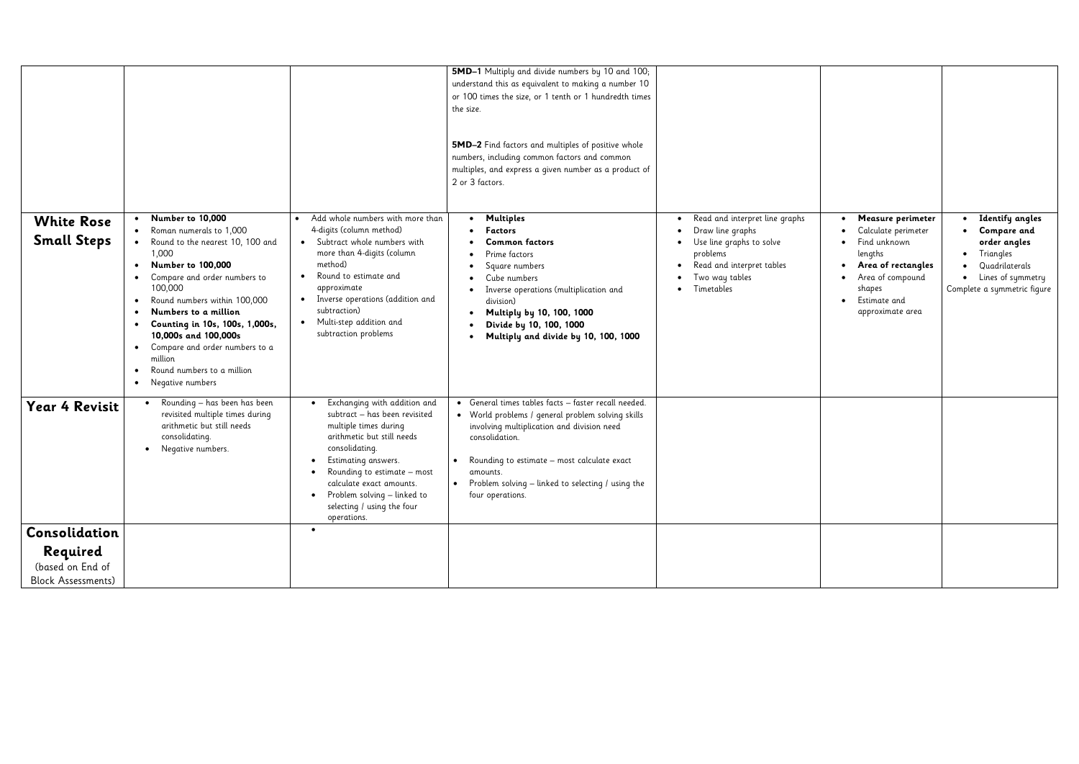|                                         |                                                                                                                                                                                                                                                                                                                                                                                                                                                                    |                                                                                                                                                                                                                                                                                                                         | 5MD-1 Multiply and divide numbers by 10 and 100;                                                                                                                                                                                                                                                              |                                                                                                                                                                      |                                                                                                                                                             |                                                                                                                                           |
|-----------------------------------------|--------------------------------------------------------------------------------------------------------------------------------------------------------------------------------------------------------------------------------------------------------------------------------------------------------------------------------------------------------------------------------------------------------------------------------------------------------------------|-------------------------------------------------------------------------------------------------------------------------------------------------------------------------------------------------------------------------------------------------------------------------------------------------------------------------|---------------------------------------------------------------------------------------------------------------------------------------------------------------------------------------------------------------------------------------------------------------------------------------------------------------|----------------------------------------------------------------------------------------------------------------------------------------------------------------------|-------------------------------------------------------------------------------------------------------------------------------------------------------------|-------------------------------------------------------------------------------------------------------------------------------------------|
|                                         |                                                                                                                                                                                                                                                                                                                                                                                                                                                                    |                                                                                                                                                                                                                                                                                                                         | understand this as equivalent to making a number 10<br>or 100 times the size, or 1 tenth or 1 hundredth times<br>the size.<br><b>5MD-2</b> Find factors and multiples of positive whole                                                                                                                       |                                                                                                                                                                      |                                                                                                                                                             |                                                                                                                                           |
|                                         |                                                                                                                                                                                                                                                                                                                                                                                                                                                                    |                                                                                                                                                                                                                                                                                                                         | numbers, including common factors and common<br>multiples, and express a given number as a product of<br>2 or 3 factors.                                                                                                                                                                                      |                                                                                                                                                                      |                                                                                                                                                             |                                                                                                                                           |
| <b>White Rose</b><br><b>Small Steps</b> | Number to 10,000<br>Roman numerals to 1,000<br>• Round to the nearest 10, 100 and<br>1,000<br><b>Number to 100,000</b><br>$\bullet$<br>Compare and order numbers to<br>100,000<br>Round numbers within 100,000<br>$\bullet$<br>Numbers to a million<br>$\bullet$<br>Counting in 10s, 100s, 1,000s,<br>$\bullet$<br>10,000s and 100,000s<br>Compare and order numbers to a<br>$\bullet$<br>million<br>Round numbers to a million<br>$\bullet$<br>• Negative numbers | Add whole numbers with more than<br>4-digits (column method)<br>• Subtract whole numbers with<br>more than 4-digits (column<br>method)<br>Round to estimate and<br>approximate<br>Inverse operations (addition and<br>$\bullet$<br>subtraction)<br>Multi-step addition and<br>$\bullet$<br>subtraction problems         | Multiples<br>$\bullet$<br>Factors<br><b>Common factors</b><br>Prime factors<br>Square numbers<br>Cube numbers<br>Inverse operations (multiplication and<br>division)<br>Multiply by 10, 100, 1000<br>Divide by 10, 100, 1000<br>Multiply and divide by 10, 100, 1000                                          | Read and interpret line graphs<br>Draw line graphs<br>Use line graphs to solve<br>$\bullet$<br>problems<br>Read and interpret tables<br>Two way tables<br>Timetables | Measure perimeter<br>Calculate perimeter<br>Find unknown<br>lengths<br>Area of rectangles<br>Area of compound<br>shapes<br>Estimate and<br>approximate area | • Identify angles<br>Compare and<br>order angles<br>• Triangles<br>• Quadrilaterals<br>• Lines of symmetry<br>Complete a symmetric figure |
| <b>Year 4 Revisit</b>                   | Rounding – has been has been<br>revisited multiple times during<br>arithmetic but still needs<br>consolidating.<br>• Negative numbers.                                                                                                                                                                                                                                                                                                                             | Exchanging with addition and<br>$\bullet$<br>subtract - has been revisited<br>multiple times during<br>arithmetic but still needs<br>consolidating.<br>• Estimating answers.<br>Rounding to estimate – most<br>calculate exact amounts.<br>• Problem solving $-$ linked to<br>selecting / using the four<br>operations. | • General times tables facts - faster recall needed.<br>• World problems / general problem solving skills<br>involving multiplication and division need<br>consolidation.<br>Rounding to estimate – most calculate exact<br>amounts.<br>Problem solving - linked to selecting / using the<br>four operations. |                                                                                                                                                                      |                                                                                                                                                             |                                                                                                                                           |
| Consolidation                           |                                                                                                                                                                                                                                                                                                                                                                                                                                                                    |                                                                                                                                                                                                                                                                                                                         |                                                                                                                                                                                                                                                                                                               |                                                                                                                                                                      |                                                                                                                                                             |                                                                                                                                           |
| Required                                |                                                                                                                                                                                                                                                                                                                                                                                                                                                                    |                                                                                                                                                                                                                                                                                                                         |                                                                                                                                                                                                                                                                                                               |                                                                                                                                                                      |                                                                                                                                                             |                                                                                                                                           |
| (based on End of                        |                                                                                                                                                                                                                                                                                                                                                                                                                                                                    |                                                                                                                                                                                                                                                                                                                         |                                                                                                                                                                                                                                                                                                               |                                                                                                                                                                      |                                                                                                                                                             |                                                                                                                                           |
| <b>Block Assessments)</b>               |                                                                                                                                                                                                                                                                                                                                                                                                                                                                    |                                                                                                                                                                                                                                                                                                                         |                                                                                                                                                                                                                                                                                                               |                                                                                                                                                                      |                                                                                                                                                             |                                                                                                                                           |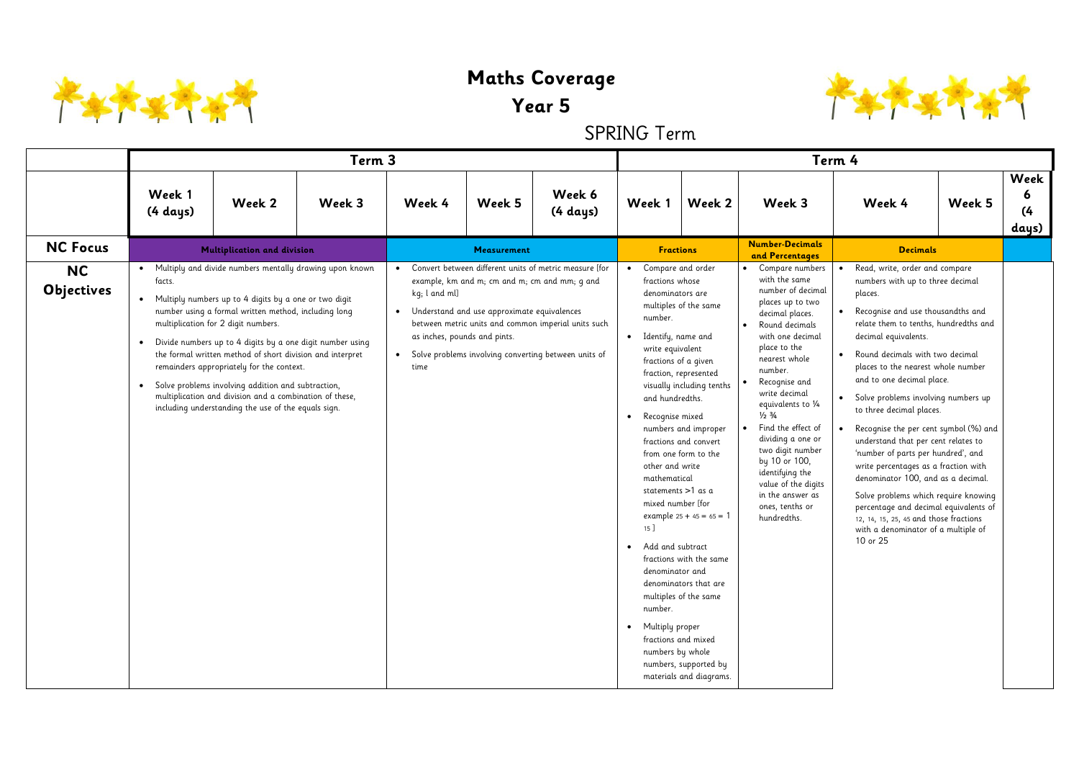

## **Maths Coverage**

## **Year 5**

SPRING Term

|                                |                                  |                                                                                                                                                                                                                                                                                                                                                                                                                                                                                                                                                                | Term 3 |                                    |                                                                                                                                |                                                                                                                                                                         |                                                                                                                   | Term 4                                                                                                                                                                                                                                                                                                                                                                                                                                                                                                                                                                                                              |                                                                                                                                                                                                                                                                                                                                                                                                                                                                                 |                        |                                                                                                                                                                                                                                                                                                                                                                                                                                                                                                                                                                                                                                                                                                                                                |        |                           |  |
|--------------------------------|----------------------------------|----------------------------------------------------------------------------------------------------------------------------------------------------------------------------------------------------------------------------------------------------------------------------------------------------------------------------------------------------------------------------------------------------------------------------------------------------------------------------------------------------------------------------------------------------------------|--------|------------------------------------|--------------------------------------------------------------------------------------------------------------------------------|-------------------------------------------------------------------------------------------------------------------------------------------------------------------------|-------------------------------------------------------------------------------------------------------------------|---------------------------------------------------------------------------------------------------------------------------------------------------------------------------------------------------------------------------------------------------------------------------------------------------------------------------------------------------------------------------------------------------------------------------------------------------------------------------------------------------------------------------------------------------------------------------------------------------------------------|---------------------------------------------------------------------------------------------------------------------------------------------------------------------------------------------------------------------------------------------------------------------------------------------------------------------------------------------------------------------------------------------------------------------------------------------------------------------------------|------------------------|------------------------------------------------------------------------------------------------------------------------------------------------------------------------------------------------------------------------------------------------------------------------------------------------------------------------------------------------------------------------------------------------------------------------------------------------------------------------------------------------------------------------------------------------------------------------------------------------------------------------------------------------------------------------------------------------------------------------------------------------|--------|---------------------------|--|
|                                | Week 1<br>$(4 \text{ days})$     | Week 2                                                                                                                                                                                                                                                                                                                                                                                                                                                                                                                                                         | Week 3 | Week 4                             | Week 5                                                                                                                         | Week 6<br>$(4 \text{ days})$                                                                                                                                            | Week 1                                                                                                            | Week 2                                                                                                                                                                                                                                                                                                                                                                                                                                                                                                                                                                                                              | Week 3                                                                                                                                                                                                                                                                                                                                                                                                                                                                          |                        | Week 4                                                                                                                                                                                                                                                                                                                                                                                                                                                                                                                                                                                                                                                                                                                                         | Week 5 | Week<br>6<br>(4)<br>days) |  |
| <b>NC Focus</b>                |                                  | Multiplication and division                                                                                                                                                                                                                                                                                                                                                                                                                                                                                                                                    |        |                                    | Measurement                                                                                                                    |                                                                                                                                                                         |                                                                                                                   | <b>Fractions</b>                                                                                                                                                                                                                                                                                                                                                                                                                                                                                                                                                                                                    | <b>Number-Decimals</b><br>and Percentages                                                                                                                                                                                                                                                                                                                                                                                                                                       |                        | <b>Decimals</b>                                                                                                                                                                                                                                                                                                                                                                                                                                                                                                                                                                                                                                                                                                                                |        |                           |  |
| <b>NC</b><br><b>Objectives</b> | facts.<br>$\bullet$<br>$\bullet$ | Multiply and divide numbers mentally drawing upon known<br>Multiply numbers up to 4 digits by a one or two digit<br>number using a formal written method, including long<br>multiplication for 2 digit numbers.<br>Divide numbers up to 4 digits by a one digit number using<br>the formal written method of short division and interpret<br>remainders appropriately for the context.<br>Solve problems involving addition and subtraction,<br>multiplication and division and a combination of these,<br>including understanding the use of the equals sign. |        | kg; l and ml]<br>$\bullet$<br>time | example, km and m; cm and m; cm and mm; q and<br>• Understand and use approximate equivalences<br>as inches, pounds and pints. | • Convert between different units of metric measure [for<br>between metric units and common imperial units such<br>Solve problems involving converting between units of | number.<br>$\bullet$<br>$\bullet$<br>mathematical<br>$15$ ]<br>• Add and subtract<br>number.<br>• Multiply proper | Compare and order<br>fractions whose<br>denominators are<br>multiples of the same<br>Identify, name and<br>write equivalent<br>fractions of a given<br>fraction, represented<br>visually including tenths<br>and hundredths.<br>Recognise mixed<br>numbers and improper<br>fractions and convert<br>from one form to the<br>other and write<br>statements >1 as a<br>mixed number [for<br>example $25 + 45 = 65 = 1$<br>fractions with the same<br>denominator and<br>denominators that are<br>multiples of the same<br>fractions and mixed<br>numbers by whole<br>numbers, supported by<br>materials and diagrams. | Compare numbers<br>with the same<br>number of decimal<br>places up to two<br>decimal places.<br>Round decimals<br>$\bullet$<br>with one decimal<br>place to the<br>nearest whole<br>number.<br>Recognise and<br>write decimal<br>equivalents to 1⁄4<br>$\frac{1}{2}$ $\frac{3}{4}$<br>Find the effect of<br>$\bullet$<br>dividing a one or<br>two digit number<br>by 10 or 100,<br>identifying the<br>value of the digits<br>in the answer as<br>ones, tenths or<br>hundredths. | $\bullet$<br>$\bullet$ | Read, write, order and compare<br>numbers with up to three decimal<br>places.<br>Recognise and use thousandths and<br>relate them to tenths, hundredths and<br>decimal equivalents.<br>Round decimals with two decimal<br>places to the nearest whole number<br>and to one decimal place.<br>Solve problems involving numbers up<br>to three decimal places.<br>Recognise the per cent symbol (%) and<br>understand that per cent relates to<br>'number of parts per hundred', and<br>write percentages as a fraction with<br>denominator 100, and as a decimal.<br>Solve problems which require knowing<br>percentage and decimal equivalents of<br>12, 14, 15, 25, 45 and those fractions<br>with a denominator of a multiple of<br>10 or 25 |        |                           |  |

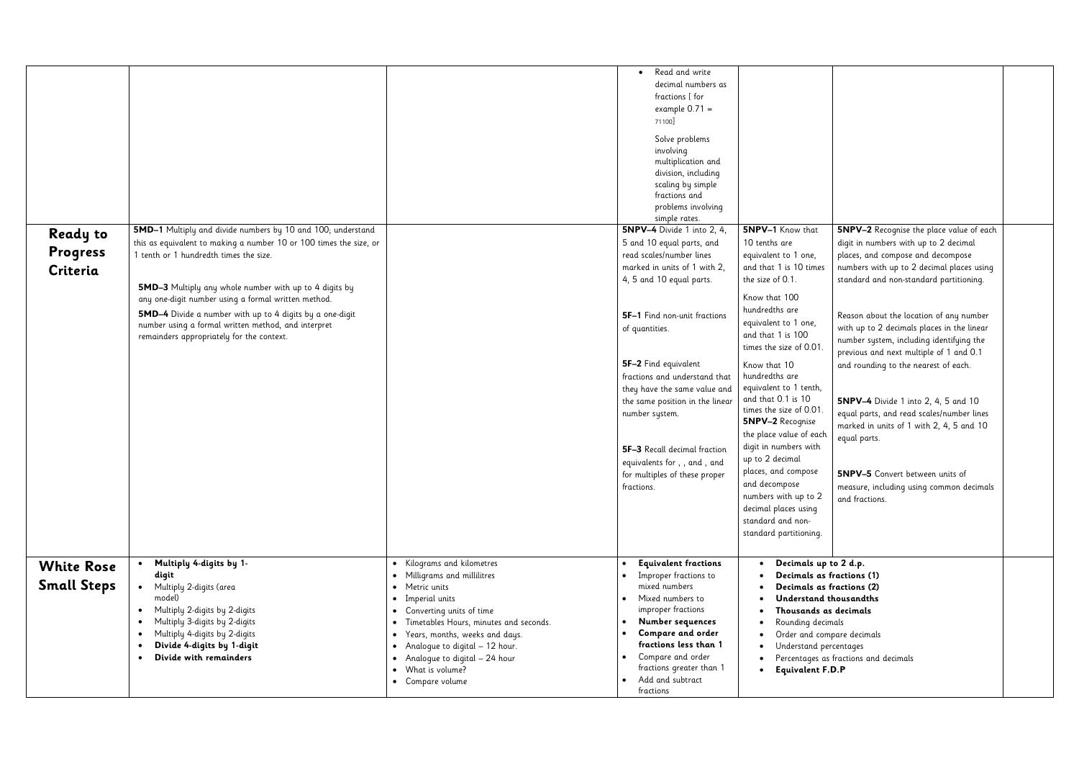| 5NPV-1 Know that<br>10 tenths are<br>equivalent to 1 one,<br>and that 1 is 10 times<br>the size of 0.1.                                                                                                                                                                                                                                                                                                                                                       | <b>5NPV–2</b> Recognise the place value of each<br>digit in numbers with up to 2 decimal<br>places, and compose and decompose<br>numbers with up to 2 decimal places using<br>standard and non-standard partitioning.                                                                                                                                                                                                                                                               |  |
|---------------------------------------------------------------------------------------------------------------------------------------------------------------------------------------------------------------------------------------------------------------------------------------------------------------------------------------------------------------------------------------------------------------------------------------------------------------|-------------------------------------------------------------------------------------------------------------------------------------------------------------------------------------------------------------------------------------------------------------------------------------------------------------------------------------------------------------------------------------------------------------------------------------------------------------------------------------|--|
| Know that 100<br>hundredths are<br>equivalent to 1 one,<br>and that 1 is 100<br>times the size of 0.01.<br>Know that 10<br>hundredths are<br>equivalent to 1 tenth,<br>and that 0.1 is 10<br>times the size of 0.01.<br><b>5NPV-2</b> Recognise<br>the place value of each<br>digit in numbers with<br>up to 2 decimal<br>places, and compose<br>and decompose<br>numbers with up to 2<br>decimal places using<br>standard and non-<br>standard partitioning. | Reason about the location of any number<br>with up to 2 decimals places in the linear<br>number system, including identifying the<br>previous and next multiple of 1 and 0.1<br>and rounding to the nearest of each.<br><b>5NPV-4</b> Divide 1 into 2, 4, 5 and 10<br>equal parts, and read scales/number lines<br>marked in units of 1 with 2, 4, 5 and 10<br>equal parts.<br><b>5NPV-5</b> Convert between units of<br>measure, including using common decimals<br>and fractions. |  |
| Decimals up to 2 d.p.<br>Decimals as fractions (1)<br>Decimals as fractions (2)<br>Understand thousandths<br>Thousands as decimals<br>Rounding decimals<br>Order and compare decimals<br>Understand percentages<br><b>Equivalent F.D.P</b>                                                                                                                                                                                                                    | Percentages as fractions and decimals                                                                                                                                                                                                                                                                                                                                                                                                                                               |  |

|                    |                                                                                                               |                                                                            | Read and write<br>$\bullet$<br>decimal numbers as |                                          |                                            |
|--------------------|---------------------------------------------------------------------------------------------------------------|----------------------------------------------------------------------------|---------------------------------------------------|------------------------------------------|--------------------------------------------|
|                    |                                                                                                               |                                                                            | fractions [ for                                   |                                          |                                            |
|                    |                                                                                                               |                                                                            | example $0.71 =$                                  |                                          |                                            |
|                    |                                                                                                               |                                                                            | 71100]                                            |                                          |                                            |
|                    |                                                                                                               |                                                                            | Solve problems                                    |                                          |                                            |
|                    |                                                                                                               |                                                                            | involving                                         |                                          |                                            |
|                    |                                                                                                               |                                                                            | multiplication and                                |                                          |                                            |
|                    |                                                                                                               |                                                                            | division, including                               |                                          |                                            |
|                    |                                                                                                               |                                                                            | scaling by simple<br>fractions and                |                                          |                                            |
|                    |                                                                                                               |                                                                            | problems involving                                |                                          |                                            |
|                    |                                                                                                               |                                                                            | simple rates.                                     |                                          |                                            |
| <b>Ready to</b>    | 5MD-1 Multiply and divide numbers by 10 and 100; understand                                                   |                                                                            | <b>5NPV-4</b> Divide 1 into 2, 4,                 | 5NPV-1 Know that                         | <b>5NPV-2 Recognise</b>                    |
|                    | this as equivalent to making a number 10 or 100 times the size, or                                            |                                                                            | 5 and 10 equal parts, and                         | 10 tenths are                            | digit in numbers wit                       |
| Progress           | 1 tenth or 1 hundredth times the size.                                                                        |                                                                            | read scales/number lines                          | equivalent to 1 one,                     | places, and compos                         |
| Criteria           |                                                                                                               |                                                                            | marked in units of 1 with 2,                      | and that 1 is 10 times                   | numbers with up to                         |
|                    |                                                                                                               |                                                                            | 4, 5 and 10 equal parts.                          | the size of 0.1.                         | standard and non-s                         |
|                    | 5MD-3 Multiply any whole number with up to 4 digits by<br>any one-digit number using a formal written method. |                                                                            |                                                   | Know that 100                            |                                            |
|                    | 5MD-4 Divide a number with up to 4 digits by a one-digit                                                      |                                                                            |                                                   | hundredths are                           |                                            |
|                    | number using a formal written method, and interpret                                                           |                                                                            | 5F-1 Find non-unit fractions                      | equivalent to 1 one,                     | Reason about the lo                        |
|                    | remainders appropriately for the context.                                                                     |                                                                            | of quantities.                                    | and that 1 is 100                        | with up to 2 decimo                        |
|                    |                                                                                                               |                                                                            |                                                   | times the size of 0.01.                  | number system, incl<br>previous and next n |
|                    |                                                                                                               |                                                                            | 5F-2 Find equivalent                              | Know that 10                             | and rounding to the                        |
|                    |                                                                                                               |                                                                            | fractions and understand that                     | hundredths are                           |                                            |
|                    |                                                                                                               |                                                                            | they have the same value and                      | equivalent to 1 tenth,                   |                                            |
|                    |                                                                                                               |                                                                            | the same position in the linear                   | and that 0.1 is 10                       | 5NPV-4 Divide 1                            |
|                    |                                                                                                               |                                                                            | number system.                                    | times the size of 0.01.                  | equal parts, and red                       |
|                    |                                                                                                               |                                                                            |                                                   | <b>5NPV-2 Recognise</b>                  | marked in units of                         |
|                    |                                                                                                               |                                                                            |                                                   | the place value of each                  | equal parts.                               |
|                    |                                                                                                               |                                                                            | 5F-3 Recall decimal fraction                      | digit in numbers with<br>up to 2 decimal |                                            |
|                    |                                                                                                               |                                                                            | equivalents for , , and , and                     | places, and compose                      |                                            |
|                    |                                                                                                               |                                                                            | for multiples of these proper                     | and decompose                            | <b>5NPV-5</b> Convert b                    |
|                    |                                                                                                               |                                                                            | fractions.                                        | numbers with up to 2                     | measure, including                         |
|                    |                                                                                                               |                                                                            |                                                   | decimal places using                     | and fractions.                             |
|                    |                                                                                                               |                                                                            |                                                   | standard and non-                        |                                            |
|                    |                                                                                                               |                                                                            |                                                   | standard partitioning.                   |                                            |
|                    |                                                                                                               |                                                                            |                                                   |                                          |                                            |
|                    | Multiply 4-digits by 1-                                                                                       | Kilograms and kilometres                                                   | <b>Equivalent fractions</b>                       | Decimals up to 2 d.p.<br>$\bullet$       |                                            |
| <b>White Rose</b>  | digit                                                                                                         | Milligrams and millilitres                                                 | Improper fractions to                             | Decimals as fractions (1)                |                                            |
| <b>Small Steps</b> | Multiply 2-digits (area                                                                                       | Metric units<br>$\bullet$                                                  | mixed numbers                                     | Decimals as fractions (2)                |                                            |
|                    | model)                                                                                                        | Imperial units<br>$\bullet$                                                | Mixed numbers to                                  | Understand thousandths                   |                                            |
|                    | Multiply 2-digits by 2-digits                                                                                 | Converting units of time<br>$\bullet$                                      | improper fractions                                | Thousands as decimals                    |                                            |
|                    | Multiply 3-digits by 2-digits                                                                                 | Timetables Hours, minutes and seconds.<br>$\bullet$                        | Number sequences<br>$\bullet$                     | Rounding decimals                        |                                            |
|                    | Multiply 4-digits by 2-digits<br>$\bullet$                                                                    | Years, months, weeks and days.<br>$\bullet$                                | Compare and order<br>$\bullet$                    | Order and compare decimals               |                                            |
|                    | Divide 4-digits by 1-digit<br>$\bullet$<br>Divide with remainders                                             | Analogue to digital – 12 hour.<br>$\bullet$                                | fractions less than 1                             | Understand percentages<br>$\bullet$      |                                            |
|                    | $\bullet$                                                                                                     | Analogue to digital – 24 hour<br>$\bullet$<br>What is volume?<br>$\bullet$ | Compare and order<br>fractions greater than 1     |                                          | Percentages as fractions and decima        |
|                    |                                                                                                               | Compare volume<br>$\bullet$                                                | Add and subtract<br>$\bullet$                     | <b>Equivalent F.D.P</b>                  |                                            |
|                    |                                                                                                               |                                                                            | fractions                                         |                                          |                                            |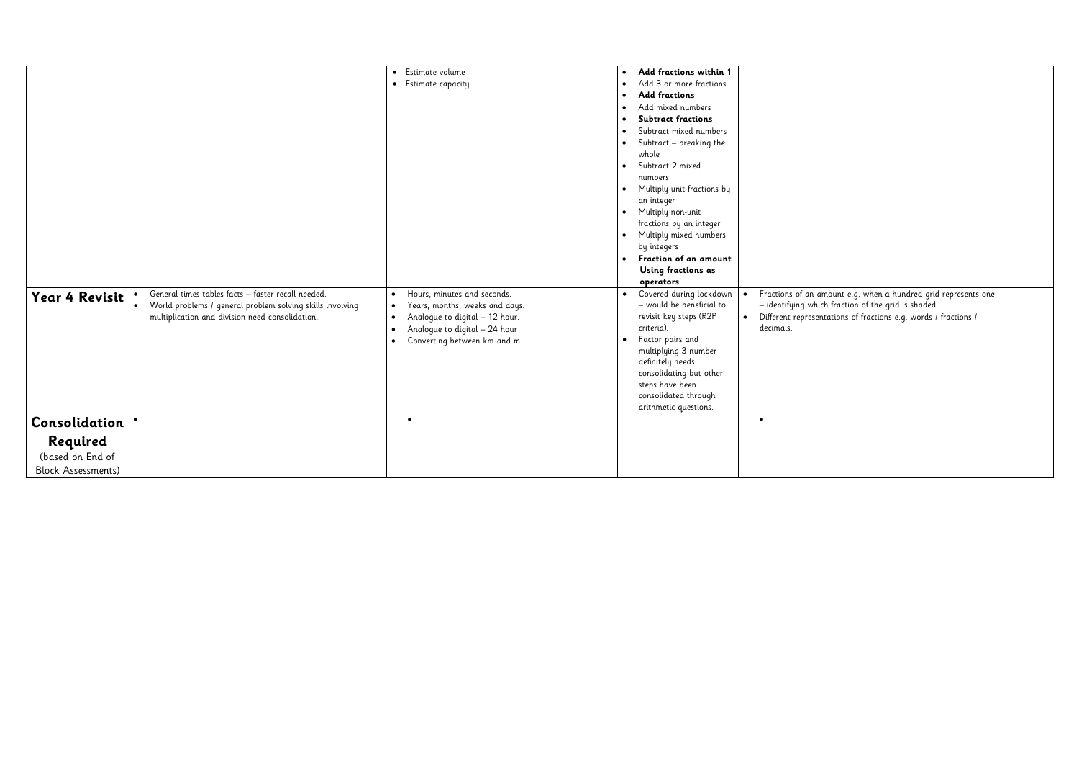|                           |                                                                        | Estimate volume<br>$\bullet$                | Add fractions within 1<br>٠                 |                             |
|---------------------------|------------------------------------------------------------------------|---------------------------------------------|---------------------------------------------|-----------------------------|
|                           |                                                                        | Estimate capacity<br>$\bullet$              | Add 3 or more fractions                     |                             |
|                           |                                                                        |                                             | <b>Add fractions</b>                        |                             |
|                           |                                                                        |                                             | Add mixed numbers<br>$\bullet$              |                             |
|                           |                                                                        |                                             | <b>Subtract fractions</b>                   |                             |
|                           |                                                                        |                                             | Subtract mixed numbers                      |                             |
|                           |                                                                        |                                             | Subtract - breaking the<br>$\bullet$        |                             |
|                           |                                                                        |                                             | whole                                       |                             |
|                           |                                                                        |                                             | Subtract 2 mixed<br>$\bullet$               |                             |
|                           |                                                                        |                                             | numbers                                     |                             |
|                           |                                                                        |                                             | Multiply unit fractions by                  |                             |
|                           |                                                                        |                                             | an integer                                  |                             |
|                           |                                                                        |                                             | Multiply non-unit<br>$\bullet$              |                             |
|                           |                                                                        |                                             | fractions by an integer                     |                             |
|                           |                                                                        |                                             | Multiply mixed numbers                      |                             |
|                           |                                                                        |                                             | by integers                                 |                             |
|                           |                                                                        |                                             | Fraction of an amount<br>$\bullet$          |                             |
|                           |                                                                        |                                             | Using fractions as                          |                             |
|                           |                                                                        |                                             | operators                                   |                             |
| Year 4 Revisit            | General times tables facts - faster recall needed.                     | Hours, minutes and seconds.<br>$\bullet$    | Covered during lockdown<br>$\bullet$        | Fractions of a<br>$\bullet$ |
|                           | World problems / general problem solving skills involving<br>$\bullet$ | Years, months, weeks and days.<br>$\bullet$ | - would be beneficial to                    | - identifying               |
|                           | multiplication and division need consolidation.                        | Analogue to digital - 12 hour.<br>$\bullet$ | revisit key steps (R2P                      | Different repre             |
|                           |                                                                        | Analogue to digital - 24 hour<br>$\bullet$  | criteria).                                  | decimals.                   |
|                           |                                                                        | Converting between km and m<br>$\bullet$    | Factor pairs and<br>$\bullet$               |                             |
|                           |                                                                        |                                             | multiplying 3 number                        |                             |
|                           |                                                                        |                                             | definitely needs<br>consolidating but other |                             |
|                           |                                                                        |                                             | steps have been                             |                             |
|                           |                                                                        |                                             | consolidated through                        |                             |
|                           |                                                                        |                                             | arithmetic questions.                       |                             |
| Consolidation             |                                                                        | $\bullet$                                   |                                             | $\bullet$                   |
| Required                  |                                                                        |                                             |                                             |                             |
| (based on End of          |                                                                        |                                             |                                             |                             |
|                           |                                                                        |                                             |                                             |                             |
| <b>Block Assessments)</b> |                                                                        |                                             |                                             |                             |

| $\bullet$ | Fractions of an amount e.g. when a hundred grid represents one<br>- identifying which fraction of the grid is shaded.<br>Different representations of fractions e.g. words / fractions /<br>decimals. |  |
|-----------|-------------------------------------------------------------------------------------------------------------------------------------------------------------------------------------------------------|--|
|           |                                                                                                                                                                                                       |  |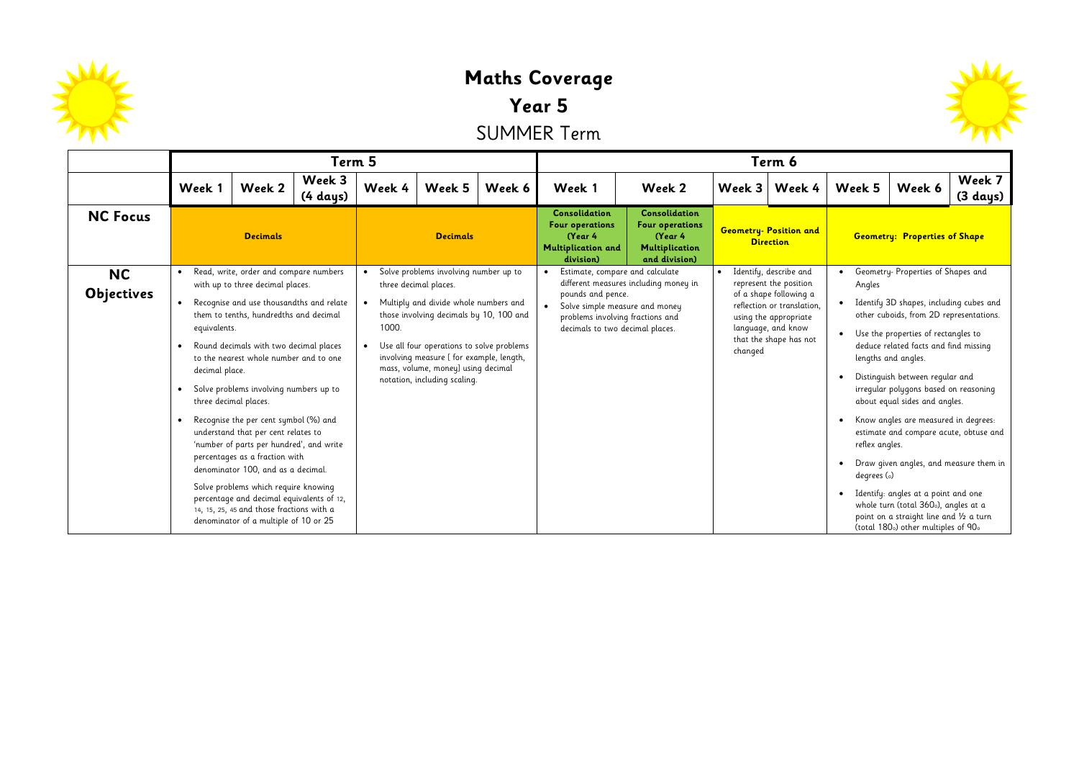

## **Maths Coverage Year 5** SUMMER Term

类

|                                |                                             |                                                                                                                                                                                                                                                                                                                                                                                                                                                                                                                                                                                                                                                                                                        | Term 5             |                 |                                                                                                                                                                                                                                                                                                                   |                                                                                                     |                                                                                                                                                                              |                                                   |          | Term 6                                                                                                                                                                            |                                                                   |                                                                                                                                                                                                                                                                                                                                                                                                                                                                                                                                                                                                                                           |                              |
|--------------------------------|---------------------------------------------|--------------------------------------------------------------------------------------------------------------------------------------------------------------------------------------------------------------------------------------------------------------------------------------------------------------------------------------------------------------------------------------------------------------------------------------------------------------------------------------------------------------------------------------------------------------------------------------------------------------------------------------------------------------------------------------------------------|--------------------|-----------------|-------------------------------------------------------------------------------------------------------------------------------------------------------------------------------------------------------------------------------------------------------------------------------------------------------------------|-----------------------------------------------------------------------------------------------------|------------------------------------------------------------------------------------------------------------------------------------------------------------------------------|---------------------------------------------------|----------|-----------------------------------------------------------------------------------------------------------------------------------------------------------------------------------|-------------------------------------------------------------------|-------------------------------------------------------------------------------------------------------------------------------------------------------------------------------------------------------------------------------------------------------------------------------------------------------------------------------------------------------------------------------------------------------------------------------------------------------------------------------------------------------------------------------------------------------------------------------------------------------------------------------------------|------------------------------|
|                                | Week 1                                      | Week 2                                                                                                                                                                                                                                                                                                                                                                                                                                                                                                                                                                                                                                                                                                 | Week 3<br>(4 days) | Week 4          | Week 5                                                                                                                                                                                                                                                                                                            | Week 6                                                                                              | Week 1                                                                                                                                                                       | Week 2                                            | Week $3$ | Week 4                                                                                                                                                                            | Week 5                                                            | Week 6                                                                                                                                                                                                                                                                                                                                                                                                                                                                                                                                                                                                                                    | Week 7<br>$(3 \text{ days})$ |
| <b>NC Focus</b>                | <b>Decimals</b>                             |                                                                                                                                                                                                                                                                                                                                                                                                                                                                                                                                                                                                                                                                                                        |                    | <b>Decimals</b> |                                                                                                                                                                                                                                                                                                                   | <b>Consolidation</b><br><b>Four operations</b><br>(Year 4<br><b>Multiplication and</b><br>division) | <b>Consolidation</b><br><b>Four operations</b><br>(Year 4<br><b>Multiplication</b><br>and division)                                                                          | <b>Geometry- Position and</b><br><b>Direction</b> |          | <b>Geometry: Properties of Shape</b>                                                                                                                                              |                                                                   |                                                                                                                                                                                                                                                                                                                                                                                                                                                                                                                                                                                                                                           |                              |
| <b>NC</b><br><b>Objectives</b> | equivalents.<br>decimal place.<br>$\bullet$ | Read, write, order and compare numbers<br>with up to three decimal places.<br>Recognise and use thousandths and relate<br>them to tenths, hundredths and decimal<br>Round decimals with two decimal places<br>to the nearest whole number and to one<br>Solve problems involving numbers up to<br>three decimal places.<br>Recognise the per cent symbol (%) and<br>understand that per cent relates to<br>'number of parts per hundred', and write<br>percentages as a fraction with<br>denominator 100, and as a decimal.<br>Solve problems which require knowing<br>percentage and decimal equivalents of 12,<br>14, 15, 25, 45 and those fractions with a<br>denominator of a multiple of 10 or 25 |                    | 1000.           | Solve problems involving number up to<br>three decimal places.<br>Multiply and divide whole numbers and<br>those involving decimals by 10, 100 and<br>Use all four operations to solve problems<br>involving measure [ for example, length,<br>mass, volume, money] using decimal<br>notation, including scaling. |                                                                                                     | Estimate, compare and calculate<br>$\bullet$<br>pounds and pence.<br>• Solve simple measure and money<br>problems involving fractions and<br>decimals to two decimal places. | different measures including money in             | changed  | Identify, describe and<br>represent the position<br>of a shape following a<br>reflection or translation,<br>using the appropriate<br>language, and know<br>that the shape has not | $\bullet$<br>Angles<br>$\bullet$<br>reflex angles.<br>degrees (0) | Geometry- Properties of Shapes and<br>Identify 3D shapes, including cubes and<br>other cuboids, from 2D representations.<br>Use the properties of rectangles to<br>deduce related facts and find missing<br>lengths and angles.<br>Distinguish between regular and<br>irregular polygons based on reasoning<br>about equal sides and angles.<br>Know angles are measured in degrees:<br>estimate and compare acute, obtuse and<br>Draw given angles, and measure them in<br>Identify: angles at a point and one<br>whole turn (total 360%), angles at a<br>point on a straight line and 1/2 a turn<br>(total 180%) other multiples of 90% |                              |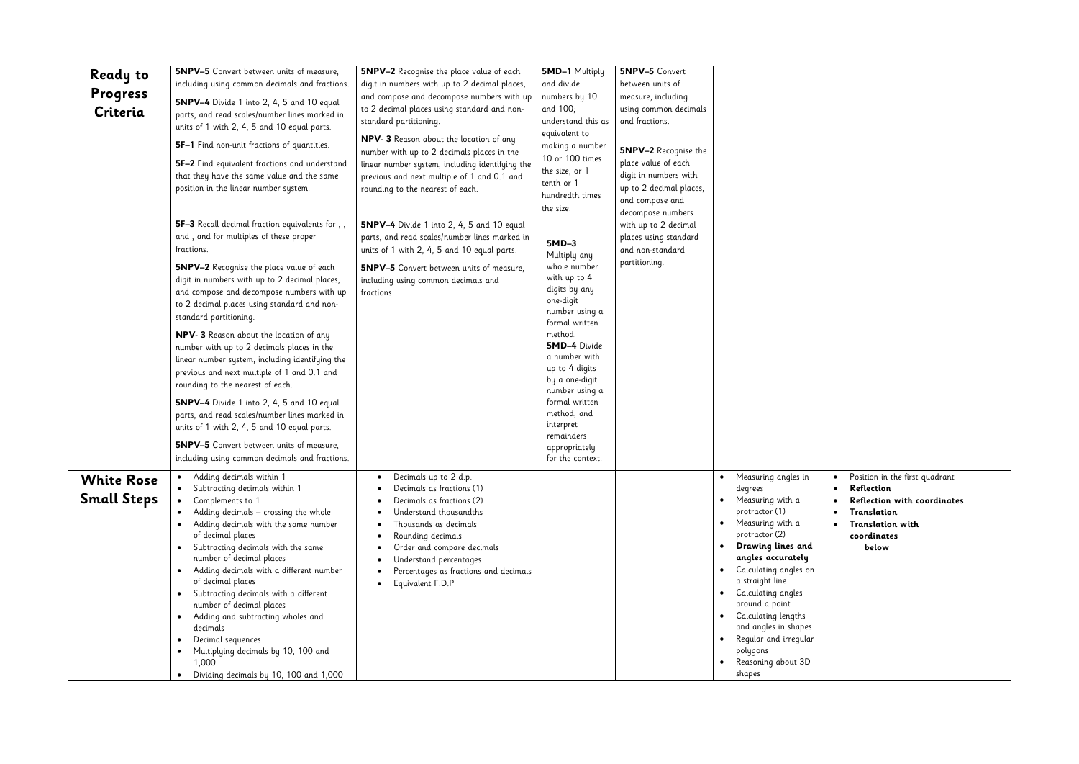| <b>Ready to</b>                         | <b>5NPV-5</b> Convert between units of measure,                                                                                                                                                                                                                                                                                                                                                                                                                                                                                                                                                                                                                                          | <b>5NPV-2</b> Recognise the place value of each                                                                                                                                                                                                                                                                       | 5MD-1 Multiply                                                                                                                                                                                                                                                      | <b>5NPV-5</b> Convert                                                                                           |                                                                                                                                                                                                                                                                                                                                                              |
|-----------------------------------------|------------------------------------------------------------------------------------------------------------------------------------------------------------------------------------------------------------------------------------------------------------------------------------------------------------------------------------------------------------------------------------------------------------------------------------------------------------------------------------------------------------------------------------------------------------------------------------------------------------------------------------------------------------------------------------------|-----------------------------------------------------------------------------------------------------------------------------------------------------------------------------------------------------------------------------------------------------------------------------------------------------------------------|---------------------------------------------------------------------------------------------------------------------------------------------------------------------------------------------------------------------------------------------------------------------|-----------------------------------------------------------------------------------------------------------------|--------------------------------------------------------------------------------------------------------------------------------------------------------------------------------------------------------------------------------------------------------------------------------------------------------------------------------------------------------------|
|                                         | including using common decimals and fractions.                                                                                                                                                                                                                                                                                                                                                                                                                                                                                                                                                                                                                                           | digit in numbers with up to 2 decimal places,                                                                                                                                                                                                                                                                         | and divide                                                                                                                                                                                                                                                          | between units of                                                                                                |                                                                                                                                                                                                                                                                                                                                                              |
| Progress                                | 5NPV-4 Divide 1 into 2, 4, 5 and 10 equal                                                                                                                                                                                                                                                                                                                                                                                                                                                                                                                                                                                                                                                | and compose and decompose numbers with up                                                                                                                                                                                                                                                                             | numbers by 10                                                                                                                                                                                                                                                       | measure, including                                                                                              |                                                                                                                                                                                                                                                                                                                                                              |
| Criteria                                | parts, and read scales/number lines marked in<br>units of 1 with 2, 4, 5 and 10 equal parts.                                                                                                                                                                                                                                                                                                                                                                                                                                                                                                                                                                                             | to 2 decimal places using standard and non-<br>standard partitioning.                                                                                                                                                                                                                                                 | and 100;<br>understand this as                                                                                                                                                                                                                                      | using common decimals<br>and fractions.                                                                         |                                                                                                                                                                                                                                                                                                                                                              |
|                                         | 5F-1 Find non-unit fractions of quantities.                                                                                                                                                                                                                                                                                                                                                                                                                                                                                                                                                                                                                                              | NPV- 3 Reason about the location of any<br>number with up to 2 decimals places in the                                                                                                                                                                                                                                 | equivalent to<br>making a number                                                                                                                                                                                                                                    | <b>5NPV-2</b> Recognise the                                                                                     |                                                                                                                                                                                                                                                                                                                                                              |
|                                         | 5F-2 Find equivalent fractions and understand<br>that they have the same value and the same<br>position in the linear number system.                                                                                                                                                                                                                                                                                                                                                                                                                                                                                                                                                     | linear number system, including identifying the<br>previous and next multiple of 1 and 0.1 and<br>rounding to the nearest of each.                                                                                                                                                                                    | 10 or 100 times<br>the size, or 1<br>tenth or 1<br>hundredth times<br>the size.                                                                                                                                                                                     | place value of each<br>digit in numbers with<br>up to 2 decimal places,<br>and compose and<br>decompose numbers |                                                                                                                                                                                                                                                                                                                                                              |
|                                         | 5F-3 Recall decimal fraction equivalents for,,<br>and, and for multiples of these proper<br>fractions.                                                                                                                                                                                                                                                                                                                                                                                                                                                                                                                                                                                   | 5NPV-4 Divide 1 into 2, 4, 5 and 10 equal<br>parts, and read scales/number lines marked in<br>units of 1 with 2, 4, 5 and 10 equal parts.                                                                                                                                                                             | $5MD-3$<br>Multiply any                                                                                                                                                                                                                                             | with up to 2 decimal<br>places using standard<br>and non-standard                                               |                                                                                                                                                                                                                                                                                                                                                              |
|                                         | <b>5NPV-2</b> Recognise the place value of each<br>digit in numbers with up to 2 decimal places,<br>and compose and decompose numbers with up<br>to 2 decimal places using standard and non-<br>standard partitioning.<br>NPV- 3 Reason about the location of any<br>number with up to 2 decimals places in the<br>linear number system, including identifying the<br>previous and next multiple of 1 and 0.1 and<br>rounding to the nearest of each.<br><b>5NPV-4</b> Divide 1 into 2, 4, 5 and 10 equal<br>parts, and read scales/number lines marked in<br>units of 1 with 2, 4, 5 and 10 equal parts.<br><b>5NPV-5</b> Convert between units of measure,                             | <b>5NPV-5</b> Convert between units of measure,<br>including using common decimals and<br>fractions.                                                                                                                                                                                                                  | whole number<br>with up to 4<br>digits by any<br>one-digit<br>number using a<br>formal written<br>method.<br><b>5MD-4 Divide</b><br>a number with<br>up to 4 digits<br>by a one-digit<br>number using a<br>formal written<br>method, and<br>interpret<br>remainders | partitioning.                                                                                                   |                                                                                                                                                                                                                                                                                                                                                              |
|                                         | including using common decimals and fractions.                                                                                                                                                                                                                                                                                                                                                                                                                                                                                                                                                                                                                                           |                                                                                                                                                                                                                                                                                                                       | appropriately<br>for the context.                                                                                                                                                                                                                                   |                                                                                                                 |                                                                                                                                                                                                                                                                                                                                                              |
| <b>White Rose</b><br><b>Small Steps</b> | Adding decimals within 1<br>$\bullet$<br>Subtracting decimals within 1<br>$\bullet$<br>Complements to 1<br>$\bullet$<br>Adding decimals - crossing the whole<br>$\bullet$<br>Adding decimals with the same number<br>$\bullet$<br>of decimal places<br>Subtracting decimals with the same<br>$\bullet$<br>number of decimal places<br>Adding decimals with a different number<br>$\bullet$<br>of decimal places<br>Subtracting decimals with a different<br>٠<br>number of decimal places<br>Adding and subtracting wholes and<br>$\bullet$<br>decimals<br>Decimal sequences<br>$\bullet$<br>Multiplying decimals by 10, 100 and<br>٠<br>1,000<br>Dividing decimals by 10, 100 and 1,000 | Decimals up to 2 d.p.<br>٠<br>Decimals as fractions (1)<br>Decimals as fractions (2)<br>Understand thousandths<br>Thousands as decimals<br>Rounding decimals<br>$\bullet$<br>Order and compare decimals<br>٠<br>Understand percentages<br>٠<br>Percentages as fractions and decimals<br>Equivalent F.D.P<br>$\bullet$ |                                                                                                                                                                                                                                                                     |                                                                                                                 | Measuring angles in<br>degrees<br>Measuring with a<br>protractor (1)<br>Measuring with a<br>protractor (2)<br>Drawing lines and<br>angles accurately<br>Calculating angles on<br>a straight line<br>Calculating angles<br>around a point<br>Calculating lengths<br>and angles in shapes<br>Regular and irregular<br>polygons<br>Reasoning about 3D<br>shapes |

| $\bullet$<br>$\bullet$ | Position in the first quadrant<br>Reflection<br>Reflection with coordinates |
|------------------------|-----------------------------------------------------------------------------|
| $\bullet$<br>$\bullet$ | Translation<br>Translation with                                             |
|                        | coordinates<br>below                                                        |
|                        |                                                                             |
|                        |                                                                             |
|                        |                                                                             |
|                        |                                                                             |